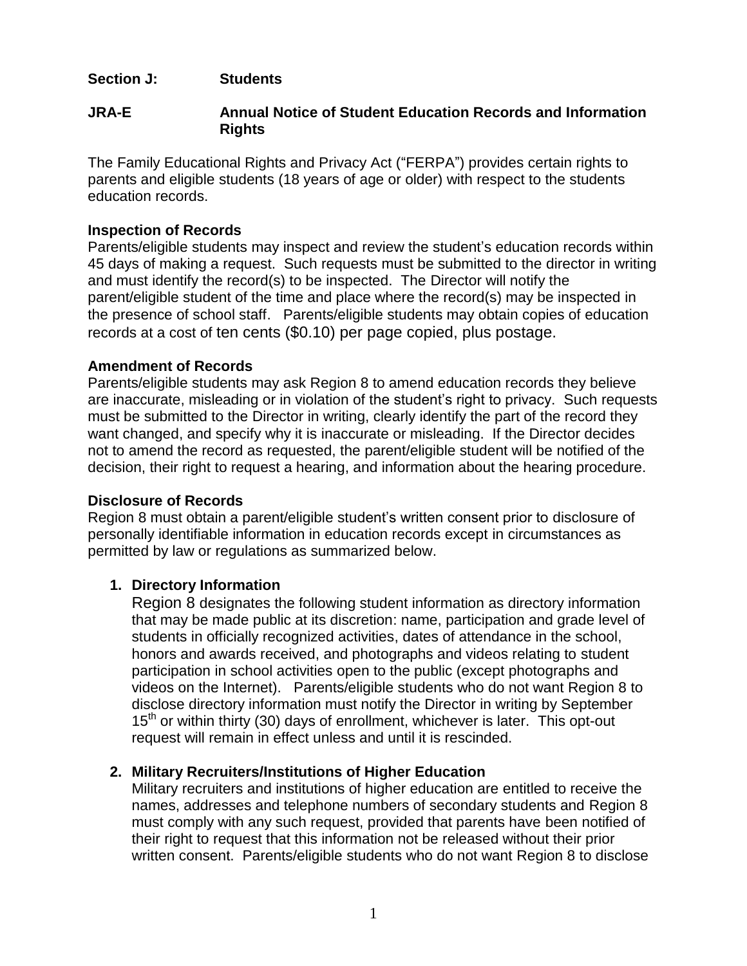## **Section J: Students**

## **JRA-E Annual Notice of Student Education Records and Information Rights**

The Family Educational Rights and Privacy Act ("FERPA") provides certain rights to parents and eligible students (18 years of age or older) with respect to the students education records.

## **Inspection of Records**

Parents/eligible students may inspect and review the student's education records within 45 days of making a request. Such requests must be submitted to the director in writing and must identify the record(s) to be inspected. The Director will notify the parent/eligible student of the time and place where the record(s) may be inspected in the presence of school staff. Parents/eligible students may obtain copies of education records at a cost of ten cents (\$0.10) per page copied, plus postage.

#### **Amendment of Records**

Parents/eligible students may ask Region 8 to amend education records they believe are inaccurate, misleading or in violation of the student's right to privacy. Such requests must be submitted to the Director in writing, clearly identify the part of the record they want changed, and specify why it is inaccurate or misleading. If the Director decides not to amend the record as requested, the parent/eligible student will be notified of the decision, their right to request a hearing, and information about the hearing procedure.

#### **Disclosure of Records**

Region 8 must obtain a parent/eligible student's written consent prior to disclosure of personally identifiable information in education records except in circumstances as permitted by law or regulations as summarized below.

#### **1. Directory Information**

Region 8 designates the following student information as directory information that may be made public at its discretion: name, participation and grade level of students in officially recognized activities, dates of attendance in the school, honors and awards received, and photographs and videos relating to student participation in school activities open to the public (except photographs and videos on the Internet). Parents/eligible students who do not want Region 8 to disclose directory information must notify the Director in writing by September  $15<sup>th</sup>$  or within thirty (30) days of enrollment, whichever is later. This opt-out request will remain in effect unless and until it is rescinded.

#### **2. Military Recruiters/Institutions of Higher Education**

Military recruiters and institutions of higher education are entitled to receive the names, addresses and telephone numbers of secondary students and Region 8 must comply with any such request, provided that parents have been notified of their right to request that this information not be released without their prior written consent. Parents/eligible students who do not want Region 8 to disclose